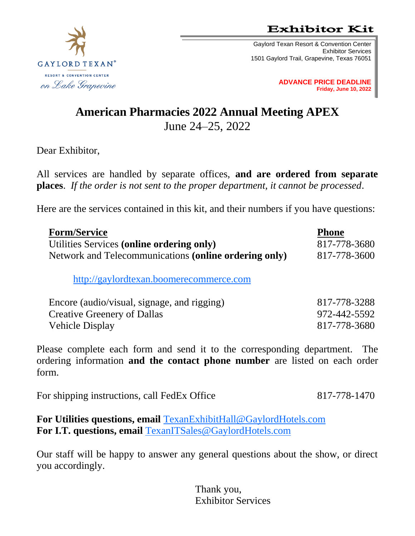**Exhibitor Kit** 

Gaylord Texan Resort & Convention Center Exhibitor Services 1501 Gaylord Trail, Grapevine, Texas 76051

> **ADVANCE PRICE DEADLINE Friday, June 10, 2022**

# **American Pharmacies 2022 Annual Meeting APEX** June 24–25, 2022

Dear Exhibitor,

All services are handled by separate offices, **and are ordered from separate places**. *If the order is not sent to the proper department, it cannot be processed*.

Here are the services contained in this kit, and their numbers if you have questions:

| <b>Form/Service</b>                                   | <b>Phone</b> |
|-------------------------------------------------------|--------------|
| Utilities Services (online ordering only)             | 817-778-3680 |
| Network and Telecommunications (online ordering only) | 817-778-3600 |
| http://gaylordtexan.boomerecommerce.com               |              |
| Encore (audio/visual, signage, and rigging)           | 817-778-3288 |
| <b>Creative Greenery of Dallas</b>                    | 972-442-5592 |
| <b>Vehicle Display</b>                                | 817-778-3680 |
|                                                       |              |

Please complete each form and send it to the corresponding department. The ordering information **and the contact phone number** are listed on each order form.

For shipping instructions, call FedEx Office 817-778-1470

**For Utilities questions, email** [TexanExhibitHall@GaylordHotels.com](mailto:TexanExhibitHall@GaylordHotels.com) **For I.T. questions, email** [TexanITSales@GaylordHotels.com](mailto:TexanITSales@GaylordHotels.com)

Our staff will be happy to answer any general questions about the show, or direct you accordingly.

> Thank you, Exhibitor Services

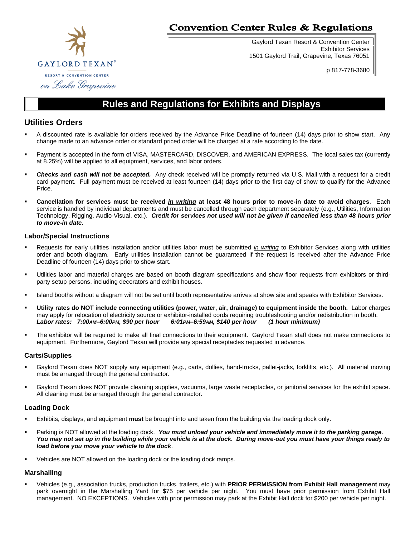

## **Convention Center Rules & Regulations**

Gaylord Texan Resort & Convention Center Exhibitor Services 1501 Gaylord Trail, Grapevine, Texas 76051

p 817-778-3680

## **Rules and Regulations for Exhibits and Displays**

## **Utilities Orders**

- A discounted rate is available for orders received by the Advance Price Deadline of fourteen (14) days prior to show start. Any change made to an advance order or standard priced order will be charged at a rate according to the date.
- Payment is accepted in the form of VISA, MASTERCARD, DISCOVER, and AMERICAN EXPRESS.The local sales tax (currently at 8.25%) will be applied to all equipment, services, and labor orders.
- Checks and cash will not be accepted. Any check received will be promptly returned via U.S. Mail with a request for a credit card payment. Full payment must be received at least fourteen (14) days prior to the first day of show to qualify for the Advance Price.
- **Cancellation for services must be received** *in writing* **at least 48 hours prior to move-in date to avoid charges**. Each service is handled by individual departments and must be cancelled through each department separately (e.g., Utilities, Information Technology, Rigging, Audio-Visual, etc.). *Credit for services not used will not be given if cancelled less than 48 hours prior to move-in date*.

## **Labor/Special Instructions**

- Requests for early utilities installation and/or utilities labor must be submitted *in writing* to Exhibitor Services along with utilities order and booth diagram. Early utilities installation cannot be guaranteed if the request is received after the Advance Price Deadline of fourteen (14) days prior to show start.
- Utilities labor and material charges are based on booth diagram specifications and show floor requests from exhibitors or thirdparty setup persons, including decorators and exhibit houses.
- Island booths without a diagram will not be set until booth representative arrives at show site and speaks with Exhibitor Services.
- Utility rates do NOT include connecting utilities (power, water, air, drainage) to equipment inside the booth. Labor charges may apply for relocation of electricity source or exhibitor-installed cords requiring troubleshooting and/or redistribution in booth. *Labor rates: 7:00AM–6:00PM, \$90 per hour 6:01PM–6:59AM, \$140 per hour (1 hour minimum)*
- The exhibitor will be required to make all final connections to their equipment. Gaylord Texan staff does not make connections to equipment. Furthermore, Gaylord Texan will provide any special receptacles requested in advance.

## **Carts/Supplies**

- Gaylord Texan does NOT supply any equipment (e.g., carts, dollies, hand-trucks, pallet-jacks, forklifts, etc.). All material moving must be arranged through the general contractor.
- Gaylord Texan does NOT provide cleaning supplies, vacuums, large waste receptacles, or janitorial services for the exhibit space. All cleaning must be arranged through the general contractor.

## **Loading Dock**

- Exhibits, displays, and equipment **must** be brought into and taken from the building via the loading dock only.
- Parking is NOT allowed at the loading dock. You must unload your vehicle and immediately move it to the parking garage. *You may not set up in the building while your vehicle is at the dock. During move-out you must have your things ready to load before you move your vehicle to the dock*.
- Vehicles are NOT allowed on the loading dock or the loading dock ramps.

## **Marshalling**

Vehicles (e.g., association trucks, production trucks, trailers, etc.) with PRIOR PERMISSION from Exhibit Hall management may park overnight in the Marshalling Yard for \$75 per vehicle per night. You must have prior permission from Exhibit Hall management. NO EXCEPTIONS. Vehicles with prior permission may park at the Exhibit Hall dock for \$200 per vehicle per night.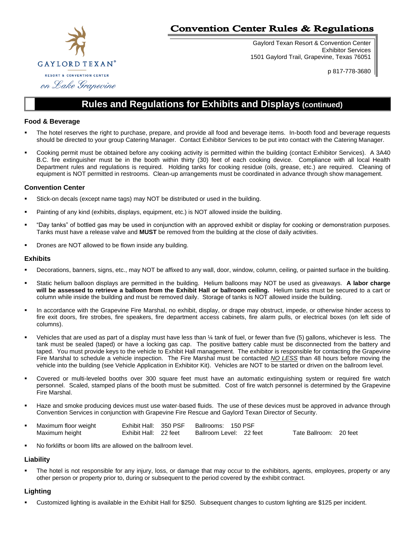

## **Convention Center Rules & Regulations**

Gaylord Texan Resort & Convention Center Exhibitor Services 1501 Gaylord Trail, Grapevine, Texas 76051

p 817-778-3680

# **Rules and Regulations for Exhibits and Displays (continued)**

### **Food & Beverage**

- The hotel reserves the right to purchase, prepare, and provide all food and beverage items. In-booth food and beverage requests should be directed to your group Catering Manager. Contact Exhibitor Services to be put into contact with the Catering Manager.
- Cooking permit must be obtained before any cooking activity is permitted within the building (contact Exhibitor Services). A 3A40 B.C. fire extinguisher must be in the booth within thirty (30) feet of each cooking device. Compliance with all local Health Department rules and regulations is required. Holding tanks for cooking residue (oils, grease, etc.) are required. Cleaning of equipment is NOT permitted in restrooms. Clean-up arrangements must be coordinated in advance through show management.

#### **Convention Center**

- Stick-on decals (except name tags) may NOT be distributed or used in the building.
- Painting of any kind (exhibits, displays, equipment, etc.) is NOT allowed inside the building.
- "Day tanks" of bottled gas may be used in conjunction with an approved exhibit or display for cooking or demonstration purposes. Tanks must have a release valve and **MUST** be removed from the building at the close of daily activities.
- Drones are NOT allowed to be flown inside any building.

#### **Exhibits**

- Decorations, banners, signs, etc., may NOT be affixed to any wall, door, window, column, ceiling, or painted surface in the building.
- Static helium balloon displays are permitted in the building. Helium balloons may NOT be used as giveaways. **A labor charge will be assessed to retrieve a balloon from the Exhibit Hall or ballroom ceiling.** Helium tanks must be secured to a cart or column while inside the building and must be removed daily. Storage of tanks is NOT allowed inside the building.
- In accordance with the Grapevine Fire Marshal, no exhibit, display, or drape may obstruct, impede, or otherwise hinder access to fire exit doors, fire strobes, fire speakers, fire department access cabinets, fire alarm pulls, or electrical boxes (on left side of columns).
- Vehicles that are used as part of a display must have less than  $\frac{1}{4}$  tank of fuel, or fewer than five (5) gallons, whichever is less. The tank must be sealed (taped) or have a locking gas cap. The positive battery cable must be disconnected from the battery and taped. You must provide keys to the vehicle to Exhibit Hall management. The exhibitor is responsible for contacting the Grapevine Fire Marshal to schedule a vehicle inspection. The Fire Marshal must be contacted *NO LESS* than 48 hours before moving the vehicle into the building (see Vehicle Application in Exhibitor Kit). Vehicles are NOT to be started or driven on the ballroom level.
- Covered or multi-leveled booths over 300 square feet must have an automatic extinguishing system or required fire watch personnel. Scaled, stamped plans of the booth must be submitted. Cost of fire watch personnel is determined by the Grapevine Fire Marshal.
- Haze and smoke producing devices must use water-based fluids. The use of these devices must be approved in advance through Convention Services in conjunction with Grapevine Fire Rescue and Gaylord Texan Director of Security.

| Maximum floor weight |                       | Exhibit Hall: 350 PSF Ballrooms: 150 PSF |                        |  |
|----------------------|-----------------------|------------------------------------------|------------------------|--|
| Maximum height       | Exhibit Hall: 22 feet | Ballroom Level: 22 feet                  | Tate Ballroom: 20 feet |  |

No forklifts or boom lifts are allowed on the ballroom level.

#### **Liability**

The hotel is not responsible for any injury, loss, or damage that may occur to the exhibitors, agents, employees, property or any other person or property prior to, during or subsequent to the period covered by the exhibit contract.

#### **Lighting**

Customized lighting is available in the Exhibit Hall for \$250. Subsequent changes to custom lighting are \$125 per incident.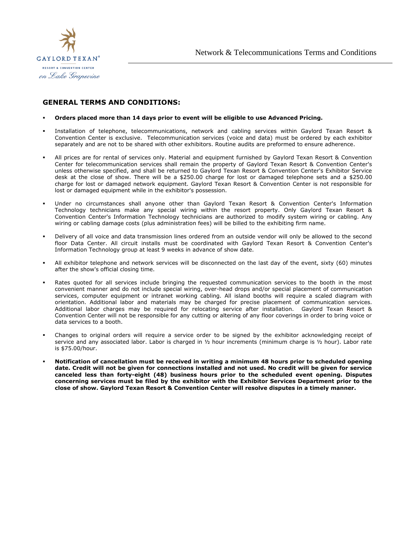

## **GENERAL TERMS AND CONDITIONS:**

#### ▪ **Orders placed more than 14 days prior to event will be eligible to use Advanced Pricing.**

- Installation of telephone, telecommunications, network and cabling services within Gaylord Texan Resort & Convention Center is exclusive. Telecommunication services (voice and data) must be ordered by each exhibitor separately and are not to be shared with other exhibitors. Routine audits are preformed to ensure adherence.
- All prices are for rental of services only. Material and equipment furnished by Gaylord Texan Resort & Convention Center for telecommunication services shall remain the property of Gaylord Texan Resort & Convention Center's unless otherwise specified, and shall be returned to Gaylord Texan Resort & Convention Center's Exhibitor Service desk at the close of show. There will be a \$250.00 charge for lost or damaged telephone sets and a \$250.00 charge for lost or damaged network equipment. Gaylord Texan Resort & Convention Center is not responsible for lost or damaged equipment while in the exhibitor's possession.
- Under no circumstances shall anyone other than Gaylord Texan Resort & Convention Center's Information Technology technicians make any special wiring within the resort property. Only Gaylord Texan Resort & Convention Center's Information Technology technicians are authorized to modify system wiring or cabling. Any wiring or cabling damage costs (plus administration fees) will be billed to the exhibiting firm name.
- Delivery of all voice and data transmission lines ordered from an outside vendor will only be allowed to the second floor Data Center. All circuit installs must be coordinated with Gaylord Texan Resort & Convention Center's Information Technology group at least 9 weeks in advance of show date.
- All exhibitor telephone and network services will be disconnected on the last day of the event, sixty (60) minutes after the show's official closing time.
- Rates quoted for all services include bringing the requested communication services to the booth in the most convenient manner and do not include special wiring, over-head drops and/or special placement of communication services, computer equipment or intranet working cabling. All island booths will require a scaled diagram with orientation. Additional labor and materials may be charged for precise placement of communication services. Additional labor charges may be required for relocating service after installation. Gaylord Texan Resort & Convention Center will not be responsible for any cutting or altering of any floor coverings in order to bring voice or data services to a booth.
- Changes to original orders will require a service order to be signed by the exhibitor acknowledging receipt of service and any associated labor. Labor is charged in ½ hour increments (minimum charge is ½ hour). Labor rate is \$75.00/hour.
- Notification of cancellation must be received in writing a minimum 48 hours prior to scheduled opening **date. Credit will not be given for connections installed and not used. No credit will be given for service canceled less than forty-eight (48) business hours prior to the scheduled event opening. Disputes concerning services must be filed by the exhibitor with the Exhibitor Services Department prior to the close of show. Gaylord Texan Resort & Convention Center will resolve disputes in a timely manner.**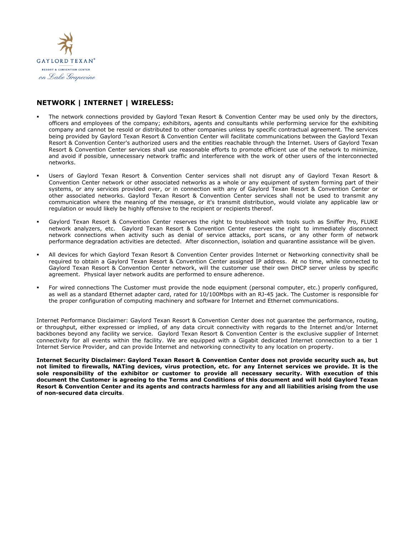

## **NETWORK | INTERNET | WIRELESS:**

- The network connections provided by Gaylord Texan Resort & Convention Center may be used only by the directors, officers and employees of the company; exhibitors, agents and consultants while performing service for the exhibiting company and cannot be resold or distributed to other companies unless by specific contractual agreement. The services being provided by Gaylord Texan Resort & Convention Center will facilitate communications between the Gaylord Texan Resort & Convention Center's authorized users and the entities reachable through the Internet. Users of Gaylord Texan Resort & Convention Center services shall use reasonable efforts to promote efficient use of the network to minimize, and avoid if possible, unnecessary network traffic and interference with the work of other users of the interconnected networks.
- Users of Gaylord Texan Resort & Convention Center services shall not disrupt any of Gaylord Texan Resort & Convention Center network or other associated networks as a whole or any equipment of system forming part of their systems, or any services provided over, or in connection with any of Gaylord Texan Resort & Convention Center or other associated networks. Gaylord Texan Resort & Convention Center services shall not be used to transmit any communication where the meaning of the message, or it's transmit distribution, would violate any applicable law or regulation or would likely be highly offensive to the recipient or recipients thereof.
- Gaylord Texan Resort & Convention Center reserves the right to troubleshoot with tools such as Sniffer Pro, FLUKE network analyzers, etc. Gaylord Texan Resort & Convention Center reserves the right to immediately disconnect network connections when activity such as denial of service attacks, port scans, or any other form of network performance degradation activities are detected. After disconnection, isolation and quarantine assistance will be given.
- All devices for which Gaylord Texan Resort & Convention Center provides Internet or Networking connectivity shall be required to obtain a Gaylord Texan Resort & Convention Center assigned IP address. At no time, while connected to Gaylord Texan Resort & Convention Center network, will the customer use their own DHCP server unless by specific agreement. Physical layer network audits are performed to ensure adherence.
- For wired connections The Customer must provide the node equipment (personal computer, etc.) properly configured, as well as a standard Ethernet adapter card, rated for 10/100Mbps with an RJ-45 jack. The Customer is responsible for the proper configuration of computing machinery and software for Internet and Ethernet communications.

Internet Performance Disclaimer: Gaylord Texan Resort & Convention Center does not guarantee the performance, routing, or throughput, either expressed or implied, of any data circuit connectivity with regards to the Internet and/or Internet backbones beyond any facility we service. Gaylord Texan Resort & Convention Center is the exclusive supplier of Internet connectivity for all events within the facility. We are equipped with a Gigabit dedicated Internet connection to a tier 1 Internet Service Provider, and can provide Internet and networking connectivity to any location on property.

**Internet Security Disclaimer: Gaylord Texan Resort & Convention Center does not provide security such as, but not limited to firewalls, NATing devices, virus protection, etc. for any Internet services we provide. It is the sole responsibility of the exhibitor or customer to provide all necessary security. With execution of this document the Customer is agreeing to the Terms and Conditions of this document and will hold Gaylord Texan Resort & Convention Center and its agents and contracts harmless for any and all liabilities arising from the use of non-secured data circuits**.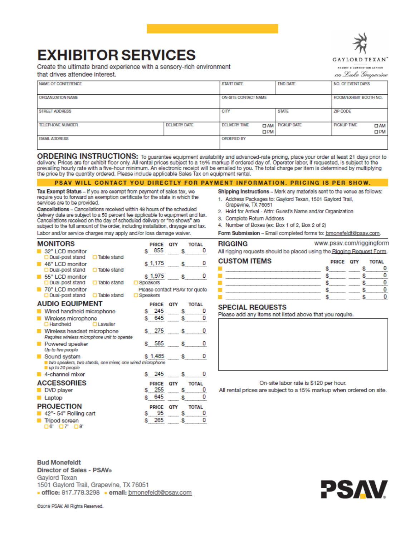

# **EXHIBITOR SERVICES**

Create the ultimate brand experience with a sensory-rich environment

that drives attendee interest.

RESORT & CONVENTION CENTER

on Lake Grapevine

www.psav.com/riggingform

| NAME OF CONFERENCE      |                      | <b>START DATE</b>    |              | <b>END DATE</b>        | NO. OF EVENT DAYS      |              |
|-------------------------|----------------------|----------------------|--------------|------------------------|------------------------|--------------|
|                         |                      |                      |              |                        |                        |              |
|                         |                      |                      |              |                        |                        |              |
|                         |                      |                      |              |                        |                        |              |
| ORGANIZATION NAME       |                      | ON-SITE CONTACT NAME |              |                        | ROOM/EXHIBIT BOOTH NO. |              |
|                         |                      |                      |              |                        |                        |              |
|                         |                      |                      |              |                        |                        |              |
|                         |                      |                      |              |                        |                        |              |
| <b>STREET ADDRESS</b>   |                      | CITY                 |              | <b>STATE</b>           | ZIP CODE               |              |
|                         |                      |                      |              |                        |                        |              |
|                         |                      |                      |              |                        |                        |              |
| <b>TELEPHONE NUMBER</b> | <b>DELIVERY DATE</b> | <b>DELIVERY TIME</b> |              | <b>DAM</b> PICKUP DATE | PICKUP TIME            | $\square$ AM |
|                         |                      |                      |              |                        |                        |              |
|                         |                      |                      | $\square$ PM |                        |                        | $\square$ PM |
|                         |                      |                      |              |                        |                        |              |
| <b>EMAIL ADDRESS</b>    |                      | <b>ORDERED BY</b>    |              |                        |                        |              |
|                         |                      |                      |              |                        |                        |              |
|                         |                      |                      |              |                        |                        |              |
|                         |                      |                      |              |                        |                        |              |

ORDERING INSTRUCTIONS: To guarantee equipment availability and advanced-rate pricing, place your order at least 21 days prior to delivery. Prices are for exhibit floor only. All rental prices subject to a 15% markup if ordered day of. Operator labor, if requested, is subject to the prevailing hourly rate with a five-hour minimum. An electronic receipt will be emailed to you. The total charge per item is determined by multiplying<br>the price by the quantity ordered. Please include applicable Sales Tax o

#### PSAV WILL CONTACT YOU DIRECTLY FOR PAYMENT INFORMATION. PRICING IS PER SHOW.

Tax Exempt Status - If you are exempt from payment of sales tax, we require you to forward an exemption certificate for the state in which the services are to be provided.

Cancellations - Cancellations received within 48 hours of the scheduled delivery date are subject to a 50 percent fee applicable to equipment and tax. Cancellations received on the day of scheduled delivery or "no shows" are subject to the full amount of the order, including installation, drayage and tax. Labor and/or service charges may apply and/or loss damage waiver.

Shipping Instructions - Mark any materials sent to the venue as follows:

- 1. Address Packages to: Gaylord Texan, 1501 Gaylord Trail, Grapevine, TX 76051
- 2. Hold for Arrival Attn: Guest's Name and/or Organization
- 3. Complete Return Address

RIGGING

- 4. Number of Boxes (ex: Box 1 of 2, Box 2 of 2)
- Form Submission Email completed forms to: bmonefeldt@psav.com.

| <b>MONITORS</b>                                           | <b>PRICE</b> | OΤΥ | <b>TOTAL</b>                  |
|-----------------------------------------------------------|--------------|-----|-------------------------------|
| 32" LCD monitor                                           | 855          |     | 0<br>Ś                        |
| □ Dual-post stand □ Table stand                           |              |     |                               |
| 46" LCD monitor                                           | \$1,175      |     | 0<br>s                        |
| $\Box$ Dual-post stand<br>□ Table stand                   |              |     |                               |
| 55" LCD monitor                                           | \$1,975      |     | o<br>s                        |
| $\Box$ Dual-post stand<br>□ Table stand                   | □ Speakers   |     |                               |
| 70" LCD monitor                                           |              |     | Please contact PSAV for quote |
| $\Box$ Dual-post stand $\Box$ Table stand                 | □ Speakers   |     |                               |
| <b>AUDIO EQUIPMENT</b>                                    | <b>PRICE</b> | OΤY | <b>TOTAL</b>                  |
| Wired handheld microphone                                 | 245<br>\$    |     | Ŝ<br>0                        |
| Wireless microphone                                       | 645          |     | 0                             |
| <b>D</b> Handheld<br>$\Box$ Lavaller                      |              |     |                               |
| Wireless headset microphone                               | 275<br>S.    |     | 0<br>s                        |
| Requires wireless microphone unit to operate              |              |     |                               |
| Powered speaker                                           | 585<br>S.    |     | 0<br>s                        |
| Up to five people                                         |              |     |                               |
| Sound system                                              | \$1.485      |     | s<br>0                        |
| two speakers, two stands, one mixer, one wired microphone |              |     |                               |
| up to 20 people                                           |              |     |                               |
| 4-channel mixer                                           | \$245        |     | 0                             |
| <b>ACCESSORIES</b>                                        | <b>PRICE</b> | OΤΥ | <b>TOTAL</b>                  |
| DVD player                                                | 255<br>S.    |     | Ŝ<br>0                        |
| Laptop                                                    | 645          |     | 0                             |
|                                                           |              |     |                               |
| <b>PROJECTION</b>                                         | <b>PRICE</b> | OTY | <b>TOTAL</b>                  |
| 42"- 54" Rolling cart                                     | 95<br>S      |     | S<br>0                        |
| <b>Tripod screen</b>                                      | 265          |     | 0                             |
| $\Box$ 6' $\Box$ 7' $\Box$ 8'                             |              |     |                               |

| <b>CUSTOM ITEMS</b> | PRICE QTY TOTAL |  |  |
|---------------------|-----------------|--|--|
|                     |                 |  |  |
|                     |                 |  |  |
|                     |                 |  |  |
|                     |                 |  |  |
|                     |                 |  |  |

All rigging requests should be placed using the Rigging Request Form.

#### **SPECIAL REQUESTS**

Please add any items not listed above that you require.

On-site labor rate is \$120 per hour.

All rental prices are subject to a 15% markup when ordered on site.

**Bud Monefeldt** Director of Sales - PSAV® **Gaylord Texan** 1501 Gaylord Trail, Grapevine, TX 76051 office: 817.778.3298 - email: bmonefeldt@psav.com

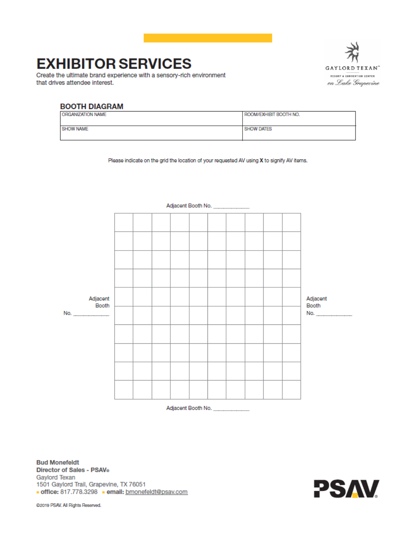# **EXHIBITOR SERVICES**

Create the ultimate brand experience with a sensory-rich environment that drives attendee interest.



#### **BOOTH DIAGRAM** ORGANIZATION NAME ROOM/EXHIBIT BOOTH NO. **SHOW NAME SHOW DATES**

Please indicate on the grid the location of your requested AV using X to signify AV items.



Adjacent Booth No.

**Bud Monefeldt** Director of Sales - PSAV® Gaylord Texan 1501 Gaylord Trail, Grapevine, TX 76051 office: 817.778.3298 - email: bmonefeldt@psav.com

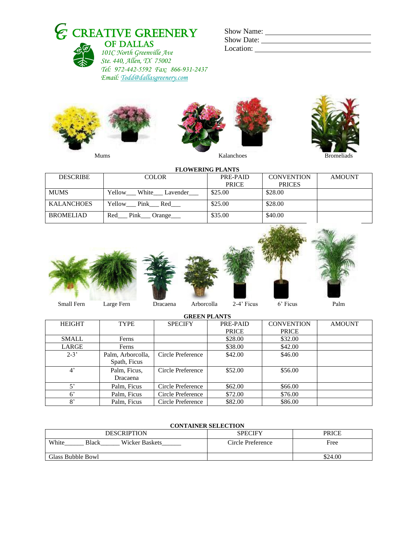|  | $\epsilon$ CREATIVE GREENERY    | <b>Show Name:</b> |
|--|---------------------------------|-------------------|
|  | <b>C</b> <sub>n</sub> OF DALLAS | <b>Show Date:</b> |



 *101C North Greenville Ave Ste. 440, Allen, TX 75002 Tel: 972-442-5592 Fax: 866-931-2437 Email[: Todd@dallasgreenery.com](mailto:Todd@dallasgreenery.com)*

| <b>Show Name:</b> |  |
|-------------------|--|
| <b>Show Date:</b> |  |
| Location:         |  |







|                   |                          | <b>FLOWERING PLANTS</b> |                   |               |
|-------------------|--------------------------|-------------------------|-------------------|---------------|
| <b>DESCRIBE</b>   | <b>COLOR</b>             | PRE-PAID                | <b>CONVENTION</b> | <b>AMOUNT</b> |
|                   |                          | <b>PRICE</b>            | <b>PRICES</b>     |               |
| <b>MUMS</b>       | White Lavender<br>Yellow | \$25.00                 | \$28.00           |               |
| <b>KALANCHOES</b> | Yellow<br>Pink<br>Red    | \$25.00                 | \$28.00           |               |
| <b>BROMELIAD</b>  | Pink<br>Red<br>Orange    | \$35.00                 | \$40.00           |               |





**GREEN PLANTS** HEIGHT TYPE SPECIFY PRE-PAID **PRICE**<br>\$28.00 **CONVENTION PRICE**<br>\$32.00 AMOUNT SMALL | Ferns | \$28.00 \$32.00 LARGE | Ferns | \$38.00 \$42.00 2-3' Palm, Arborcolla, Spath, Ficus Circle Preference | \$42.00 \$46.00 4' Palm, Ficus, Dracaena Circle Preference \$52.00 \$56.00 5' Palm, Ficus Circle Preference \$62.00 \$66.00 6' Palm, Ficus Circle Preference \$72.00 \$76.00<br>8' Palm, Ficus Circle Preference \$82.00 \$86.00 Palm, Ficus Circle Preference \$82.00 \$86.00

## **CONTAINER SELECTION**

| <b>DESCRIPTION</b>                      | <b>SPECIFY</b>    | <b>PRICE</b> |  |
|-----------------------------------------|-------------------|--------------|--|
| White<br><b>Wicker Baskets</b><br>Black | Circle Preference | Free         |  |
| Glass Bubble Bowl                       |                   | \$24.00      |  |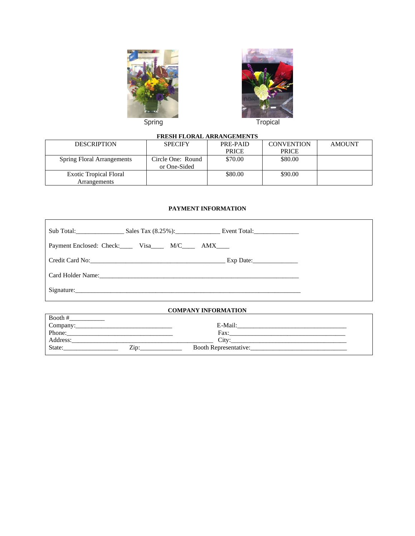



|                                   | <b>FRESH FLORAL ARRANGEMENTS</b> |              |                   |        |  |
|-----------------------------------|----------------------------------|--------------|-------------------|--------|--|
| <b>DESCRIPTION</b>                | <b>SPECIFY</b>                   | PRE-PAID     | <b>CONVENTION</b> | AMOUNT |  |
|                                   |                                  | <b>PRICE</b> | <b>PRICE</b>      |        |  |
| <b>Spring Floral Arrangements</b> | Circle One: Round                | \$70.00      | \$80.00           |        |  |
|                                   | or One-Sided                     |              |                   |        |  |
| <b>Exotic Tropical Floral</b>     |                                  | \$80.00      | \$90.00           |        |  |
| Arrangements                      |                                  |              |                   |        |  |

## **PAYMENT INFORMATION**

| Sub Total: Sales Tax (8.25%): Event Total:      |  |  |  |
|-------------------------------------------------|--|--|--|
| Payment Enclosed: Check: Visa M/C _____ AMX____ |  |  |  |
|                                                 |  |  |  |
|                                                 |  |  |  |
|                                                 |  |  |  |
| <b>COMPANY INFORMATION</b>                      |  |  |  |

| Booth#         |                              |
|----------------|------------------------------|
| Company:       | E-Mail:                      |
| Phone:         | Fax:                         |
| Address:       | Citv:                        |
| State:<br>Zip: | <b>Booth Representative:</b> |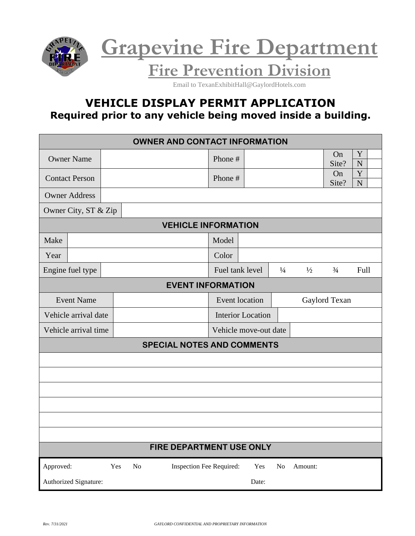



**Fire Prevention Division**

Email to TexanExhibitHall@GaylordHotels.com

# **VEHICLE DISPLAY PERMIT APPLICATION Required prior to any vehicle being moved inside a building.**

|                                                    | <b>OWNER AND CONTACT INFORMATION</b> |  |  |  |  |         |                 |                          |       |               |               |                |                  |  |
|----------------------------------------------------|--------------------------------------|--|--|--|--|---------|-----------------|--------------------------|-------|---------------|---------------|----------------|------------------|--|
| <b>Owner Name</b>                                  |                                      |  |  |  |  |         | Phone #         |                          |       |               |               | On<br>Site?    | Y<br>$\mathbf N$ |  |
| <b>Contact Person</b>                              |                                      |  |  |  |  | Phone # |                 |                          |       |               | On<br>Site?   | Y<br>${\bf N}$ |                  |  |
| <b>Owner Address</b>                               |                                      |  |  |  |  |         |                 |                          |       |               |               |                |                  |  |
|                                                    | Owner City, ST & Zip                 |  |  |  |  |         |                 |                          |       |               |               |                |                  |  |
|                                                    | <b>VEHICLE INFORMATION</b>           |  |  |  |  |         |                 |                          |       |               |               |                |                  |  |
| Make                                               |                                      |  |  |  |  |         | Model           |                          |       |               |               |                |                  |  |
| Year                                               |                                      |  |  |  |  |         | Color           |                          |       |               |               |                |                  |  |
|                                                    | Engine fuel type                     |  |  |  |  |         | Fuel tank level |                          |       | $\frac{1}{4}$ | $\frac{1}{2}$ | $\frac{3}{4}$  | Full             |  |
|                                                    | <b>EVENT INFORMATION</b>             |  |  |  |  |         |                 |                          |       |               |               |                |                  |  |
|                                                    | <b>Event Name</b>                    |  |  |  |  |         |                 | <b>Event</b> location    |       |               | Gaylord Texan |                |                  |  |
| Vehicle arrival date                               |                                      |  |  |  |  |         |                 | <b>Interior Location</b> |       |               |               |                |                  |  |
| Vehicle arrival time                               |                                      |  |  |  |  |         |                 | Vehicle move-out date    |       |               |               |                |                  |  |
|                                                    | <b>SPECIAL NOTES AND COMMENTS</b>    |  |  |  |  |         |                 |                          |       |               |               |                |                  |  |
|                                                    |                                      |  |  |  |  |         |                 |                          |       |               |               |                |                  |  |
|                                                    |                                      |  |  |  |  |         |                 |                          |       |               |               |                |                  |  |
|                                                    |                                      |  |  |  |  |         |                 |                          |       |               |               |                |                  |  |
|                                                    |                                      |  |  |  |  |         |                 |                          |       |               |               |                |                  |  |
|                                                    |                                      |  |  |  |  |         |                 |                          |       |               |               |                |                  |  |
|                                                    |                                      |  |  |  |  |         |                 |                          |       |               |               |                |                  |  |
| FIRE DEPARTMENT USE ONLY                           |                                      |  |  |  |  |         |                 |                          |       |               |               |                |                  |  |
| Approved:<br>Yes<br>No<br>Inspection Fee Required: |                                      |  |  |  |  |         |                 | Yes                      | No    | Amount:       |               |                |                  |  |
|                                                    | Authorized Signature:                |  |  |  |  |         |                 |                          | Date: |               |               |                |                  |  |